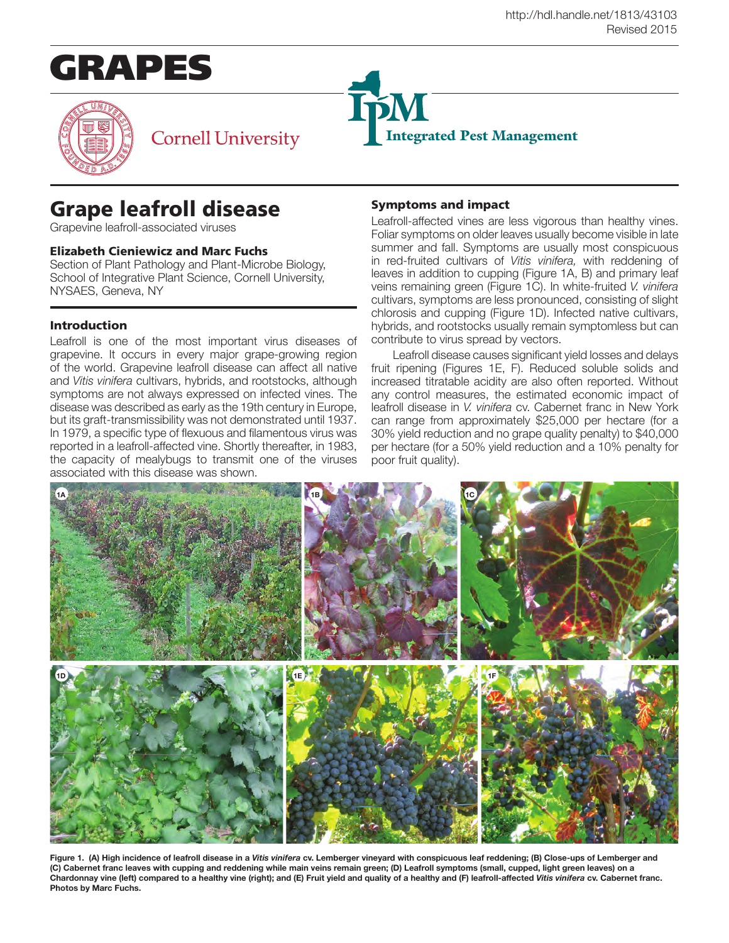



## **Cornell University**

# Grape leafroll disease

Grapevine leafroll-associated viruses

## Elizabeth Cieniewicz and Marc Fuchs

Section of Plant Pathology and Plant-Microbe Biology, School of Integrative Plant Science, Cornell University, NYSAES, Geneva, NY

## Introduction

Leafroll is one of the most important virus diseases of grapevine. It occurs in every major grape-growing region of the world. Grapevine leafroll disease can affect all native and *Vitis vinifera* cultivars, hybrids, and rootstocks, although symptoms are not always expressed on infected vines. The disease was described as early as the 19th century in Europe, but its graft-transmissibility was not demonstrated until 1937. In 1979, a specific type of flexuous and filamentous virus was reported in a leafroll-affected vine. Shortly thereafter, in 1983, the capacity of mealybugs to transmit one of the viruses associated with this disease was shown.

## Symptoms and impact

Integrated Pest Management

Leafroll-affected vines are less vigorous than healthy vines. Foliar symptoms on older leaves usually become visible in late summer and fall. Symptoms are usually most conspicuous in red-fruited cultivars of *Vitis vinifera,* with reddening of leaves in addition to cupping (Figure 1A, B) and primary leaf veins remaining green (Figure 1C). In white-fruited *V. vinifera*  cultivars, symptoms are less pronounced, consisting of slight chlorosis and cupping (Figure 1D). Infected native cultivars, hybrids, and rootstocks usually remain symptomless but can contribute to virus spread by vectors.

Leafroll disease causes significant yield losses and delays fruit ripening (Figures 1E, F). Reduced soluble solids and increased titratable acidity are also often reported. Without any control measures, the estimated economic impact of leafroll disease in *V. vinifera* cv. Cabernet franc in New York can range from approximately \$25,000 per hectare (for a 30% yield reduction and no grape quality penalty) to \$40,000 per hectare (for a 50% yield reduction and a 10% penalty for poor fruit quality).



**Figure 1. (A) High incidence of leafroll disease in a** *Vitis vinifera* **cv. Lemberger vineyard with conspicuous leaf reddening; (B) Close-ups of Lemberger and (C) Cabernet franc leaves with cupping and reddening while main veins remain green; (D) Leafroll symptoms (small, cupped, light green leaves) on a Chardonnay vine (left) compared to a healthy vine (right); and (E) Fruit yield and quality of a healthy and (F) leafroll-affected** *Vitis vinifera* **cv. Cabernet franc. Photos by Marc Fuchs.**